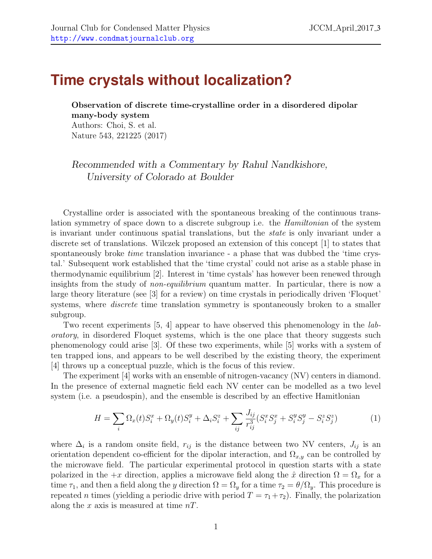## **Time crystals without localization?**

Observation of discrete time-crystalline order in a disordered dipolar many-body system Authors: Choi, S. et al. Nature 543, 221225 (2017)

Recommended with a Commentary by Rahul Nandkishore, University of Colorado at Boulder

Crystalline order is associated with the spontaneous breaking of the continuous translation symmetry of space down to a discrete subgroup i.e. the Hamiltonian of the system is invariant under continuous spatial translations, but the state is only invariant under a discrete set of translations. Wilczek proposed an extension of this concept [\[1\]](#page-2-0) to states that spontaneously broke *time* translation invariance - a phase that was dubbed the 'time crystal.' Subsequent work established that the 'time crystal' could not arise as a stable phase in thermodynamic equilibrium [\[2\]](#page-2-1). Interest in 'time cystals' has however been renewed through insights from the study of *non-equilibrium* quantum matter. In particular, there is now a large theory literature (see [\[3\]](#page-2-2) for a review) on time crystals in periodically driven 'Floquet' systems, where *discrete* time translation symmetry is spontaneously broken to a smaller subgroup.

Two recent experiments [\[5,](#page-2-3) [4\]](#page-2-4) appear to have observed this phenomenology in the *lab*oratory, in disordered Floquet systems, which is the one place that theory suggests such phenomenology could arise [\[3\]](#page-2-2). Of these two experiments, while [\[5\]](#page-2-3) works with a system of ten trapped ions, and appears to be well described by the existing theory, the experiment [\[4\]](#page-2-4) throws up a conceptual puzzle, which is the focus of this review.

The experiment [\[4\]](#page-2-4) works with an ensemble of nitrogen-vacancy (NV) centers in diamond. In the presence of external magnetic field each NV center can be modelled as a two level system (i.e. a pseudospin), and the ensemble is described by an effective Hamitlonian

$$
H = \sum_{i} \Omega_x(t) S_i^x + \Omega_y(t) S_i^y + \Delta_i S_i^z + \sum_{ij} \frac{J_{ij}}{r_{ij}^3} (S_i^x S_j^x + S_i^y S_j^y - S_i^z S_j^z)
$$
(1)

where  $\Delta_i$  is a random onsite field,  $r_{ij}$  is the distance between two NV centers,  $J_{ij}$  is an orientation dependent co-efficient for the dipolar interaction, and  $\Omega_{x,y}$  can be controlled by the microwave field. The particular experimental protocol in question starts with a state polarized in the  $+x$  direction, applies a microwave field along the  $\hat{x}$  direction  $\Omega = \Omega_x$  for a time  $\tau_1$ , and then a field along the y direction  $\Omega = \Omega_y$  for a time  $\tau_2 = \theta/\Omega_y$ . This procedure is repeated *n* times (yielding a periodic drive with period  $T = \tau_1 + \tau_2$ ). Finally, the polarization along the x axis is measured at time  $nT$ .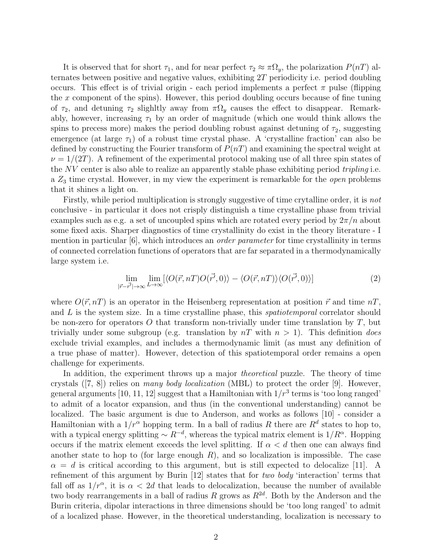It is observed that for short  $\tau_1$ , and for near perfect  $\tau_2 \approx \pi \Omega_y$ , the polarization  $P(nT)$  alternates between positive and negative values, exhibiting 2T periodicity i.e. period doubling occurs. This effect is of trivial origin - each period implements a perfect  $\pi$  pulse (flipping the x component of the spins). However, this period doubling occurs because of fine tuning of  $\tau_2$ , and detuning  $\tau_2$  slighltly away from  $\pi\Omega_y$  causes the effect to disappear. Remarkably, however, increasing  $\tau_1$  by an order of magnitude (which one would think allows the spins to precess more) makes the period doubling robust against detuning of  $\tau_2$ , suggesting emergence (at large  $\tau_1$ ) of a robust time crystal phase. A 'crystalline fraction' can also be defined by constructing the Fourier transform of  $P(nT)$  and examining the spectral weight at  $\nu = 1/(2T)$ . A refinement of the experimental protocol making use of all three spin states of the NV center is also able to realize an apparently stable phase exhibiting period *tripling* i.e. a  $Z_3$  time crystal. However, in my view the experiment is remarkable for the *open* problems that it shines a light on.

Firstly, while period multiplication is strongly suggestive of time crytalline order, it is *not* conclusive - in particular it does not crisply distinguish a time crystalline phase from trivial examples such as e.g. a set of uncoupled spins which are rotated every period by  $2\pi/n$  about some fixed axis. Sharper diagnostics of time crystallinity do exist in the theory literature - I mention in particular [\[6\]](#page-2-5), which introduces an *order parameter* for time crystallinity in terms of connected correlation functions of operators that are far separated in a thermodynamically large system i.e.

$$
\lim_{|\vec{r}-\vec{r'}|\to\infty} \lim_{L\to\infty} [\langle O(\vec{r}, nT)O(\vec{r'}, 0) \rangle - \langle O(\vec{r}, nT) \rangle \langle O(\vec{r'}, 0) \rangle] \tag{2}
$$

where  $O(\vec{r}, nT)$  is an operator in the Heisenberg representation at position  $\vec{r}$  and time  $nT$ , and  $L$  is the system size. In a time crystalline phase, this *spatiotemporal* correlator should be non-zero for operators O that transform non-trivially under time translation by  $T$ , but trivially under some subgroup (e.g. translation by  $nT$  with  $n > 1$ ). This definition *does* exclude trivial examples, and includes a thermodynamic limit (as must any definition of a true phase of matter). However, detection of this spatiotemporal order remains a open challenge for experiments.

In addition, the experiment throws up a major *theoretical* puzzle. The theory of time crystals ([\[7,](#page-2-6) [8\]](#page-2-7)) relies on many body localization (MBL) to protect the order [\[9\]](#page-2-8). However, general arguments [\[10,](#page-2-9) [11,](#page-2-10) [12\]](#page-2-11) suggest that a Hamiltonian with  $1/r^3$  terms is 'too long ranged' to admit of a locator expansion, and thus (in the conventional understanding) cannot be localized. The basic argument is due to Anderson, and works as follows [\[10\]](#page-2-9) - consider a Hamiltonian with a  $1/r^{\alpha}$  hopping term. In a ball of radius R there are  $R^d$  states to hop to, with a typical energy splitting  $\sim R^{-d}$ , whereas the typical matrix element is  $1/R^{\alpha}$ . Hopping occurs if the matrix element exceeds the level splitting. If  $\alpha < d$  then one can always find another state to hop to (for large enough  $R$ ), and so localization is impossible. The case  $\alpha = d$  is critical according to this argument, but is still expected to delocalize [\[11\]](#page-2-10). A refinement of this argument by Burin [\[12\]](#page-2-11) states that for two body 'interaction' terms that fall off as  $1/r^{\alpha}$ , it is  $\alpha < 2d$  that leads to delocalization, because the number of available two body rearrangements in a ball of radius R grows as  $R^{2d}$ . Both by the Anderson and the Burin criteria, dipolar interactions in three dimensions should be 'too long ranged' to admit of a localized phase. However, in the theoretical understanding, localization is necessary to